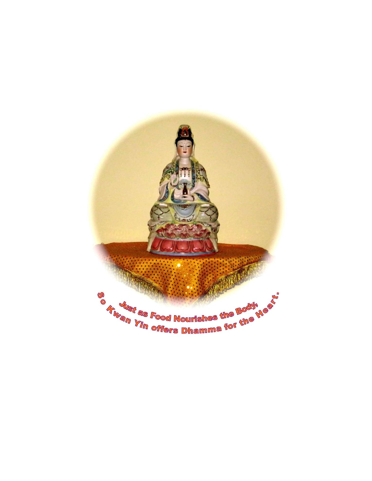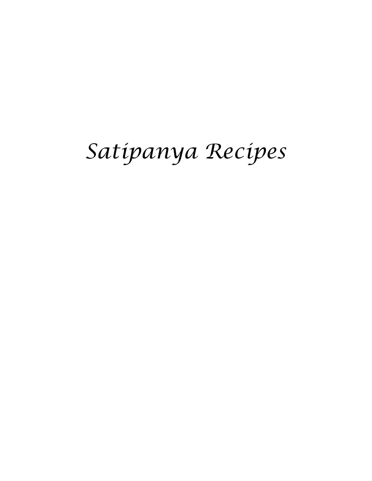# Satipanya Recipes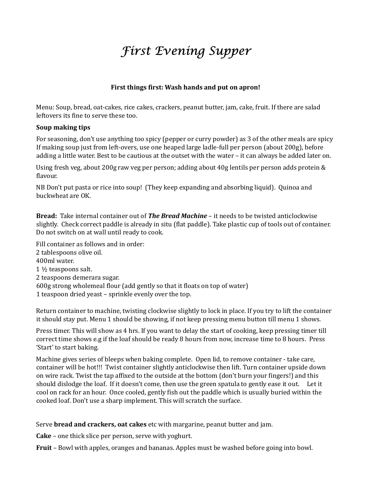# First Evening Supper

# First things first: Wash hands and put on apron!

Menu: Soup, bread, oat-cakes, rice cakes, crackers, peanut butter, jam, cake, fruit. If there are salad leftovers its fine to serve these too.

#### Soup making tips

 For seasoning, don't use anything too spicy (pepper or curry powder) as 3 of the other meals are spicy If making soup just from left-overs, use one heaped large ladle-full per person (about 200g), before adding a little water. Best to be cautious at the outset with the water – it can always be added later on.

Using fresh veg, about 200g raw veg per person; adding about 40g lentils per person adds protein & flavour.

NB Don't put pasta or rice into soup! (They keep expanding and absorbing liquid). Quinoa and buckwheat are OK.

Bread: Take internal container out of *The Bread Machine* – it needs to be twisted anticlockwise slightly. Check correct paddle is already in situ (flat paddle). Take plastic cup of tools out of container. Do not switch on at wall until ready to cook.

Fill container as follows and in order: 2 tablespoons olive oil. 400ml water. 1 ½ teaspoons salt. 2 teaspoons demerara sugar. 600g strong wholemeal flour (add gently so that it floats on top of water) 1 teaspoon dried yeast – sprinkle evenly over the top.

Return container to machine, twisting clockwise slightly to lock in place. If you try to lift the container it should stay put. Menu 1 should be showing, if not keep pressing menu button till menu 1 shows.

Press timer. This will show as 4 hrs. If you want to delay the start of cooking, keep pressing timer till correct time shows e.g if the loaf should be ready 8 hours from now, increase time to 8 hours. Press 'Start' to start baking.

Machine gives series of bleeps when baking complete. Open lid, to remove container - take care, container will be hot!!! Twist container slightly anticlockwise then lift. Turn container upside down on wire rack. Twist the tap affixed to the outside at the bottom (don't burn your fingers!) and this should dislodge the loaf. If it doesn't come, then use the green spatula to gently ease it out. Let it cool on rack for an hour. Once cooled, gently fish out the paddle which is usually buried within the cooked loaf. Don't use a sharp implement. This will scratch the surface.

Serve bread and crackers, oat cakes etc with margarine, peanut butter and jam.

Cake – one thick slice per person, serve with yoghurt.

Fruit – Bowl with apples, oranges and bananas. Apples must be washed before going into bowl.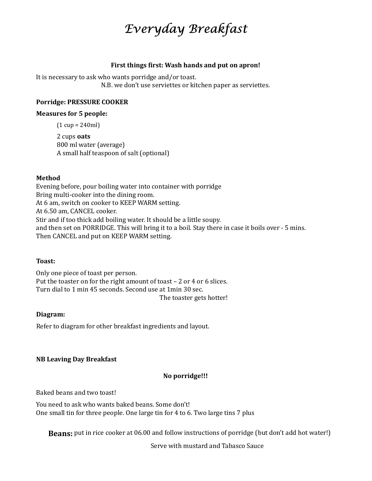# Everyday Breakfast

#### First things first: Wash hands and put on apron!

It is necessary to ask who wants porridge and/or toast. N.B. we don't use serviettes or kitchen paper as serviettes.

#### Porridge: PRESSURE COOKER

#### Measures for 5 people:

(1 cup = 240ml)

 2 cups oats 800 ml water (average) A small half teaspoon of salt (optional)

#### Method

Evening before, pour boiling water into container with porridge Bring multi-cooker into the dining room. At 6 am, switch on cooker to KEEP WARM setting. At 6.50 am, CANCEL cooker. Stir and if too thick add boiling water. It should be a little soupy. and then set on PORRIDGE. This will bring it to a boil. Stay there in case it boils over - 5 mins. Then CANCEL and put on KEEP WARM setting.

#### Toast:

Only one piece of toast per person. Put the toaster on for the right amount of toast – 2 or 4 or 6 slices. Turn dial to 1 min 45 seconds. Second use at 1min 30 sec. The toaster gets hotter!

#### Diagram:

Refer to diagram for other breakfast ingredients and layout.

#### NB Leaving Day Breakfast

#### No porridge!!!

Baked beans and two toast!

You need to ask who wants baked beans. Some don't! One small tin for three people. One large tin for 4 to 6. Two large tins 7 plus

Beans: put in rice cooker at 06.00 and follow instructions of porridge (but don't add hot water!)

Serve with mustard and Tabasco Sauce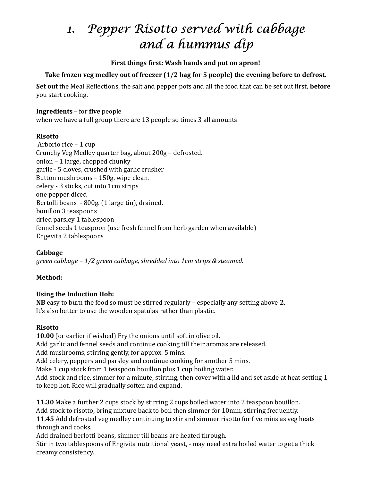# 1. Pepper Risotto served with cabbage and a hummus dip

#### First things first: Wash hands and put on apron!

# Take frozen veg medley out of freezer (1/2 bag for 5 people) the evening before to defrost.

Set out the Meal Reflections, the salt and pepper pots and all the food that can be set out first, before you start cooking.

#### Ingredients – for five people

when we have a full group there are 13 people so times 3 all amounts

#### **Risotto**

Arborio rice – 1 cup Crunchy Veg Medley quarter bag, about 200g – defrosted. onion – 1 large, chopped chunky garlic - 5 cloves, crushed with garlic crusher Button mushrooms – 150g, wipe clean. celery - 3 sticks, cut into 1cm strips one pepper diced Bertolli beans - 800g. (1 large tin), drained. bouillon 3 teaspoons dried parsley 1 tablespoon fennel seeds 1 teaspoon (use fresh fennel from herb garden when available) Engevita 2 tablespoons

Cabbage green cabbage – 1/2 green cabbage, shredded into 1cm strips & steamed.

# Method:

# Using the Induction Hob:

NB easy to burn the food so must be stirred regularly – especially any setting above 2. It's also better to use the wooden spatulas rather than plastic.

# Risotto

10.00 (or earlier if wished) Fry the onions until soft in olive oil. Add garlic and fennel seeds and continue cooking till their aromas are released. Add mushrooms, stirring gently, for approx. 5 mins. Add celery, peppers and parsley and continue cooking for another 5 mins. Make 1 cup stock from 1 teaspoon bouillon plus 1 cup boiling water. Add stock and rice, simmer for a minute, stirring, then cover with a lid and set aside at heat setting 1 to keep hot. Rice will gradually soften and expand.

11.30 Make a further 2 cups stock by stirring 2 cups boiled water into 2 teaspoon bouillon. Add stock to risotto, bring mixture back to boil then simmer for 10min, stirring frequently. 11.45 Add defrosted veg medley continuing to stir and simmer risotto for five mins as veg heats through and cooks. Add drained berlotti beans, simmer till beans are heated through.

Stir in two tablespoons of Engivita nutritional yeast, - may need extra boiled water to get a thick creamy consistency.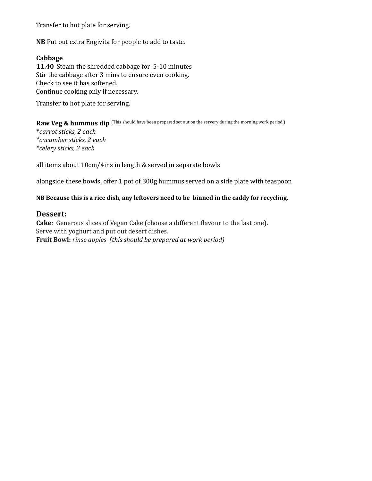Transfer to hot plate for serving.

NB Put out extra Engivita for people to add to taste.

#### Cabbage

11.40 Steam the shredded cabbage for 5-10 minutes Stir the cabbage after 3 mins to ensure even cooking. Check to see it has softened. Continue cooking only if necessary.

Transfer to hot plate for serving.

Raw Veg & hummus dip (This should have been prepared set out on the servery during the morning work period.)

 \*carrot sticks, 2 each \*cucumber sticks, 2 each \*celery sticks, 2 each

all items about 10cm/4ins in length & served in separate bowls

alongside these bowls, offer 1 pot of 300g hummus served on a side plate with teaspoon

#### NB Because this is a rice dish, any leftovers need to be binned in the caddy for recycling.

#### Dessert:

Cake: Generous slices of Vegan Cake (choose a different flavour to the last one). Serve with yoghurt and put out desert dishes. Fruit Bowl: rinse apples (this should be prepared at work period)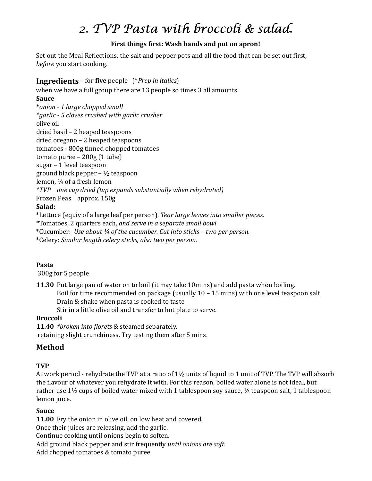# 2. TVP Pasta with broccoli & salad.

# First things first: Wash hands and put on apron!

Set out the Meal Reflections, the salt and pepper pots and all the food that can be set out first, before you start cooking.

# Ingredients – for five people (\*Prep in italics)

when we have a full group there are 13 people so times 3 all amounts Sauce \*onion - 1 large chopped small \*garlic - 5 cloves crushed with garlic crusher olive oil dried basil – 2 heaped teaspoons dried oregano – 2 heaped teaspoons tomatoes - 800g tinned chopped tomatoes tomato puree – 200g (1 tube) sugar – 1 level teaspoon ground black pepper – ½ teaspoon lemon, ¼ of a fresh lemon \*TVP one cup dried (tvp expands substantially when rehydrated) Frozen Peas approx. 150g Salad: \*Lettuce (equiv of a large leaf per person). Tear large leaves into smaller pieces.

\*Tomatoes, 2 quarters each, and serve in a separate small bowl

\*Cucumber: Use about ¼ of the cucumber. Cut into sticks – two per person.

\*Celery: Similar length celery sticks, also two per person.

#### Pasta

300g for 5 people

11.30 Put large pan of water on to boil (it may take 10mins) and add pasta when boiling. Boil for time recommended on package (usually 10 – 15 mins) with one level teaspoon salt Drain & shake when pasta is cooked to taste

Stir in a little olive oil and transfer to hot plate to serve.

# Broccoli

11.40 \*broken into florets & steamed separately, retaining slight crunchiness. Try testing them after 5 mins.

# Method

# TVP

At work period - rehydrate the TVP at a ratio of 1½ units of liquid to 1 unit of TVP. The TVP will absorb the flavour of whatever you rehydrate it with. For this reason, boiled water alone is not ideal, but rather use 1½ cups of boiled water mixed with 1 tablespoon soy sauce, ½ teaspoon salt, 1 tablespoon lemon juice.

# Sauce

11.00 Fry the onion in olive oil, on low heat and covered. Once their juices are releasing, add the garlic. Continue cooking until onions begin to soften. Add ground black pepper and stir frequently until onions are soft. Add chopped tomatoes & tomato puree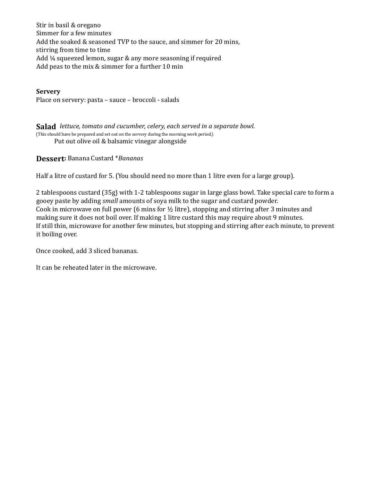Stir in basil & oregano Simmer for a few minutes Add the soaked & seasoned TVP to the sauce, and simmer for 20 mins, stirring from time to time Add ¼ squeezed lemon, sugar & any more seasoning if required Add peas to the mix & simmer for a further 10 min

**Servery** Place on servery: pasta – sauce – broccoli - salads

Salad lettuce, tomato and cucumber, celery, each served in a separate bowl. (This should have be prepared and set out on the servery during the morning work period.) Put out olive oil & balsamic vinegar alongside

Dessert: Banana Custard \*Bananas

Half a litre of custard for 5. (You should need no more than 1 litre even for a large group).

2 tablespoons custard (35g) with 1-2 tablespoons sugar in large glass bowl. Take special care to form a gooey paste by adding small amounts of soya milk to the sugar and custard powder. Cook in microwave on full power (6 mins for ½ litre), stopping and stirring after 3 minutes and making sure it does not boil over. If making 1 litre custard this may require about 9 minutes. If still thin, microwave for another few minutes, but stopping and stirring after each minute, to prevent it boiling over.

Once cooked, add 3 sliced bananas.

It can be reheated later in the microwave.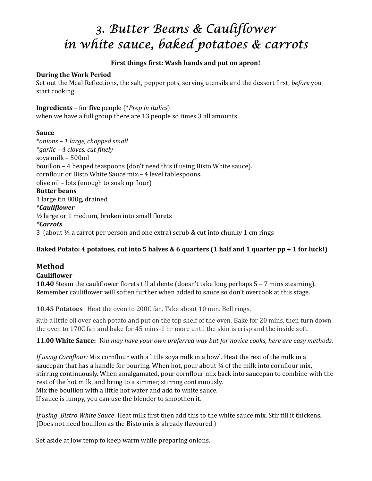# 3. Butter Beans & Cauliflower in white sauce, baked potatoes & carrots

### First things first: Wash hands and put on apron!

#### During the Work Period

Set out the Meal Reflections, the salt, pepper pots, serving utensils and the dessert first, before you start cooking.

Ingredients – for five people (\*Prep in italics) when we have a full group there are 13 people so times 3 all amounts

#### Sauce

 \*onions – 1 large, chopped small \*garlic – 4 cloves, cut finely soya milk – 500ml bouillon – 4 heaped teaspoons (don't need this if using Bisto White sauce). cornflour or Bisto White Sauce mix.– 4 level tablespoons. olive oil – lots (enough to soak up flour) Butter beans 1 large tin 800g, drained \*Cauliflower  $\frac{1}{2}$  large or 1 medium, broken into small florets \*Carrots 3 (about  $\frac{1}{2}$  a carrot per person and one extra) scrub & cut into chunky 1 cm rings

# Baked Potato: 4 potatoes, cut into 5 halves & 6 quarters (1 half and 1 quarter pp + 1 for luck!)

# Method

# Cauliflower

10.40 Steam the cauliflower florets till al dente (doesn't take long perhaps 5 – 7 mins steaming). Remember cauliflower will soften further when added to sauce so don't overcook at this stage.

10.45 Potatoes Heat the oven to 200C fan. Take about 10 min. Bell rings.

Rub a little oil over each potato and put on the top shelf of the oven. Bake for 20 mins, then turn down the oven to 170C fan and bake for 45 mins-1 hr more until the skin is crisp and the inside soft.

11.00 White Sauce: You may have your own preferred way but for novice cooks, here are easy methods.

If using Cornflour: Mix cornflour with a little soya milk in a bowl. Heat the rest of the milk in a saucepan that has a handle for pouring. When hot, pour about  $\frac{1}{4}$  of the milk into cornflour mix, stirring continuously. When amalgamated, pour cornflour mix back into saucepan to combine with the rest of the hot milk, and bring to a simmer, stirring continuously. Mix the bouillon with a little hot water and add to white sauce. If sauce is lumpy, you can use the blender to smoothen it.

If using Bistro White Sauce: Heat milk first then add this to the white sauce mix. Stir till it thickens. (Does not need bouillon as the Bisto mix is already flavoured.)

Set aside at low temp to keep warm while preparing onions.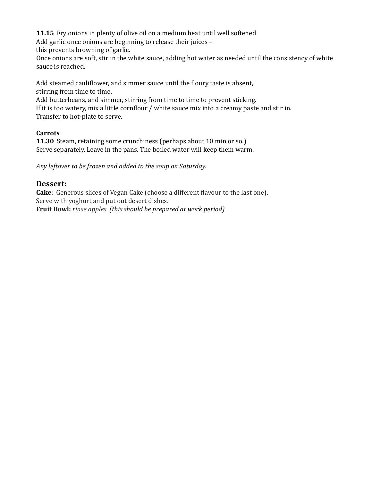11.15 Fry onions in plenty of olive oil on a medium heat until well softened

Add garlic once onions are beginning to release their juices –

this prevents browning of garlic.

 Once onions are soft, stir in the white sauce, adding hot water as needed until the consistency of white sauce is reached.

Add steamed cauliflower, and simmer sauce until the floury taste is absent, stirring from time to time.

Add butterbeans, and simmer, stirring from time to time to prevent sticking.

If it is too watery, mix a little cornflour / white sauce mix into a creamy paste and stir in. Transfer to hot-plate to serve.

# **Carrots**

11.30 Steam, retaining some crunchiness (perhaps about 10 min or so.) Serve separately. Leave in the pans. The boiled water will keep them warm.

Any leftover to be frozen and added to the soup on Saturday.

# Dessert:

Cake: Generous slices of Vegan Cake (choose a different flavour to the last one). Serve with yoghurt and put out desert dishes. Fruit Bowl: rinse apples (this should be prepared at work period)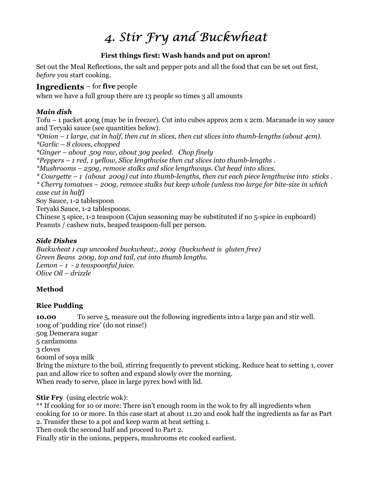# 4. Stir Fry and Buckwheat

# First things first: Wash hands and put on apron!

Set out the Meal Reflections, the salt and pepper pots and all the food that can be set out first, before you start cooking.

# Ingredients – for five people

when we have a full group there are 13 people so times 3 all amounts

# Main dish

 Tofu – 1 packet 400g (may be in freezer). Cut into cubes approx 2cm x 2cm. Maranade in soy sauce and Teryaki sauce (see quantities below).

\*Onion  $-1$  large, cut in half, then cut in slices, then cut slices into thumb-lengths (about 4cm). \*Garlic – 8 cloves, chopped

\*Ginger – about 50g raw, about 30g peeled. Chop finely

\*Peppers – 1 red, 1 yellow, Slice lengthwise then cut slices into thumb-lengths .

\*Mushrooms – 250g, remove stalks and slice lengthways. Cut head into slices.

 $*$  Courgette – 1 (about 200g) cut into thumb-lengths, then cut each piece lengthwise into sticks. \* Cherry tomatoes – 200g, remove stalks but keep whole (unless too large for bite-size in which case cut in half)

Soy Sauce, 1-2 tablespoon

Teryaki Sauce, 1-2 tablespoons.

Chinese 5 spice, 1-2 teaspoon (Cajun seasoning may be substituted if no 5-spice in cupboard) Peanuts / cashew nuts, heaped teaspoon-full per person.

# Side Dishes

Buckwheat 1 cup uncooked buckwheat;, 200g (buckwheat is gluten free) Green Beans 200g, top and tail, cut into thumb lengths. Lemon  $-1$  - 2 teaspoonful juice. Olive Oil – drizzle

# Method

# Rice Pudding

10.00 To serve 5, measure out the following ingredients into a large pan and stir well. 100g of 'pudding rice' (do not rinse!) 50g Demerara sugar 5 cardamoms 3 cloves 600ml of soya milk Bring the mixture to the boil, stirring frequently to prevent sticking. Reduce heat to setting 1, cover pan and allow rice to soften and expand slowly over the morning. When ready to serve, place in large pyrex bowl with lid.

Stir Fry (using electric wok):

\*\* If cooking for 10 or more: There isn't enough room in the wok to fry all ingredients when cooking for 10 or more. In this case start at about 11.20 and cook half the ingredients as far as Part 2. Transfer these to a pot and keep warm at heat setting 1.

Then cook the second half and proceed to Part 2.

Finally stir in the onions, peppers, mushrooms etc cooked earliest.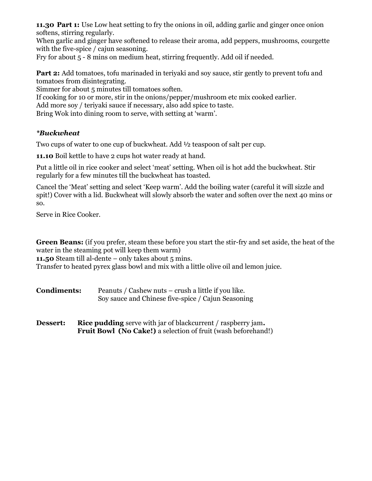11.30 Part 1: Use Low heat setting to fry the onions in oil, adding garlic and ginger once onion softens, stirring regularly.

 When garlic and ginger have softened to release their aroma, add peppers, mushrooms, courgette with the five-spice / cajun seasoning.

Fry for about 5 - 8 mins on medium heat, stirring frequently. Add oil if needed.

Part 2: Add tomatoes, tofu marinaded in teriyaki and soy sauce, stir gently to prevent tofu and tomatoes from disintegrating.

Simmer for about 5 minutes till tomatoes soften.

If cooking for 10 or more, stir in the onions/pepper/mushroom etc mix cooked earlier.

Add more soy / teriyaki sauce if necessary, also add spice to taste.

Bring Wok into dining room to serve, with setting at 'warm'.

# \*Buckwheat

Two cups of water to one cup of buckwheat. Add ½ teaspoon of salt per cup.

11.10 Boil kettle to have 2 cups hot water ready at hand.

Put a little oil in rice cooker and select 'meat' setting. When oil is hot add the buckwheat. Stir regularly for a few minutes till the buckwheat has toasted.

Cancel the 'Meat' setting and select 'Keep warm'. Add the boiling water (careful it will sizzle and spit!) Cover with a lid. Buckwheat will slowly absorb the water and soften over the next 40 mins or so.

Serve in Rice Cooker.

Green Beans: (if you prefer, steam these before you start the stir-fry and set aside, the heat of the water in the steaming pot will keep them warm)

11.50 Steam till al-dente – only takes about 5 mins.

Transfer to heated pyrex glass bowl and mix with a little olive oil and lemon juice.

Condiments: Peanuts / Cashew nuts – crush a little if you like. Soy sauce and Chinese five-spice / Cajun Seasoning

**Dessert:** Rice pudding serve with jar of blackcurrent / raspberry jam. Fruit Bowl (No Cake!) a selection of fruit (wash beforehand!)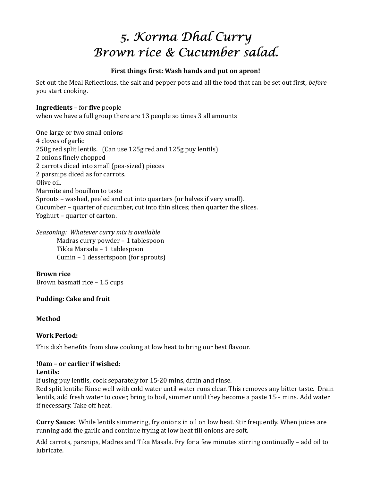# 5. Korma Dhal Curry Brown rice & Cucumber salad.

#### First things first: Wash hands and put on apron!

Set out the Meal Reflections, the salt and pepper pots and all the food that can be set out first, *before* you start cooking.

#### Ingredients – for five people

when we have a full group there are 13 people so times 3 all amounts

One large or two small onions 4 cloves of garlic 250g red split lentils. (Can use 125g red and 125g puy lentils) 2 onions finely chopped 2 carrots diced into small (pea-sized) pieces 2 parsnips diced as for carrots. Olive oil. Marmite and bouillon to taste Sprouts – washed, peeled and cut into quarters (or halves if very small). Cucumber – quarter of cucumber, cut into thin slices; then quarter the slices. Yoghurt – quarter of carton.

Seasoning: Whatever curry mix is available

 Madras curry powder – 1 tablespoon Tikka Marsala – 1 tablespoon Cumin – 1 dessertspoon (for sprouts)

Brown rice Brown basmati rice – 1.5 cups

#### Pudding: Cake and fruit

#### Method

# Work Period:

This dish benefits from slow cooking at low heat to bring our best flavour.

# !0am – or earlier if wished:

#### Lentils:

If using puy lentils, cook separately for 15-20 mins, drain and rinse.

Red split lentils: Rinse well with cold water until water runs clear. This removes any bitter taste. Drain lentils, add fresh water to cover, bring to boil, simmer until they become a paste  $15\sim$  mins. Add water if necessary. Take off heat.

Curry Sauce: While lentils simmering, fry onions in oil on low heat. Stir frequently. When juices are running add the garlic and continue frying at low heat till onions are soft.

Add carrots, parsnips, Madres and Tika Masala. Fry for a few minutes stirring continually – add oil to lubricate.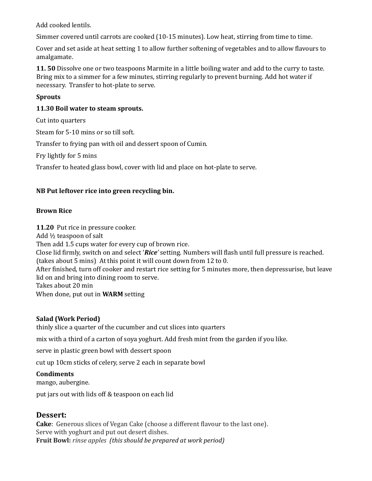Add cooked lentils.

Simmer covered until carrots are cooked (10-15 minutes). Low heat, stirring from time to time.

Cover and set aside at heat setting 1 to allow further softening of vegetables and to allow flavours to amalgamate.

11. 50 Dissolve one or two teaspoons Marmite in a little boiling water and add to the curry to taste. Bring mix to a simmer for a few minutes, stirring regularly to prevent burning. Add hot water if necessary. Transfer to hot-plate to serve.

# Sprouts

# 11.30 Boil water to steam sprouts.

Cut into quarters

Steam for 5-10 mins or so till soft.

Transfer to frying pan with oil and dessert spoon of Cumin.

Fry lightly for 5 mins

Transfer to heated glass bowl, cover with lid and place on hot-plate to serve.

# NB Put leftover rice into green recycling bin.

# Brown Rice

11.20 Put rice in pressure cooker. Add ½ teaspoon of salt Then add 1.5 cups water for every cup of brown rice. Close lid firmly, switch on and select 'Rice' setting. Numbers will flash until full pressure is reached. (takes about 5 mins) At this point it will count down from 12 to 0. After finished, turn off cooker and restart rice setting for 5 minutes more, then depressurise, but leave lid on and bring into dining room to serve. Takes about 20 min When done, put out in WARM setting

# Salad (Work Period)

thinly slice a quarter of the cucumber and cut slices into quarters

mix with a third of a carton of soya yoghurt. Add fresh mint from the garden if you like.

serve in plastic green bowl with dessert spoon

cut up 10cm sticks of celery, serve 2 each in separate bowl

# **Condiments**

mango, aubergine.

put jars out with lids off & teaspoon on each lid

# Dessert:

Cake: Generous slices of Vegan Cake (choose a different flavour to the last one). Serve with yoghurt and put out desert dishes. Fruit Bowl: rinse apples (this should be prepared at work period)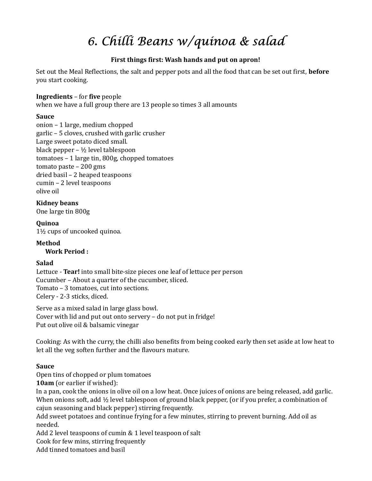# 6. Chilli Beans w/quinoa & salad

# First things first: Wash hands and put on apron!

Set out the Meal Reflections, the salt and pepper pots and all the food that can be set out first, **before** you start cooking.

#### Ingredients – for five people

when we have a full group there are 13 people so times 3 all amounts

# Sauce

onion – 1 large, medium chopped garlic – 5 cloves, crushed with garlic crusher Large sweet potato diced small. black pepper – ½ level tablespoon tomatoes – 1 large tin, 800g, chopped tomatoes tomato paste – 200 gms dried basil – 2 heaped teaspoons cumin – 2 level teaspoons olive oil

Kidney beans One large tin 800g

Quinoa 1½ cups of uncooked quinoa.

Method Work Period :

# Salad

Lettuce - Tear! into small bite-size pieces one leaf of lettuce per person Cucumber – About a quarter of the cucumber, sliced. Tomato – 3 tomatoes, cut into sections. Celery - 2-3 sticks, diced.

 Serve as a mixed salad in large glass bowl. Cover with lid and put out onto servery – do not put in fridge! Put out olive oil & balsamic vinegar

Cooking: As with the curry, the chilli also benefits from being cooked early then set aside at low heat to let all the veg soften further and the flavours mature.

# Sauce

Open tins of chopped or plum tomatoes

10am (or earlier if wished):

In a pan, cook the onions in olive oil on a low heat. Once juices of onions are being released, add garlic. When onions soft, add 1/2 level tablespoon of ground black pepper, (or if you prefer, a combination of cajun seasoning and black pepper) stirring frequently.

 Add sweet potatoes and continue frying for a few minutes, stirring to prevent burning. Add oil as needed.

Add 2 level teaspoons of cumin & 1 level teaspoon of salt

Cook for few mins, stirring frequently

Add tinned tomatoes and basil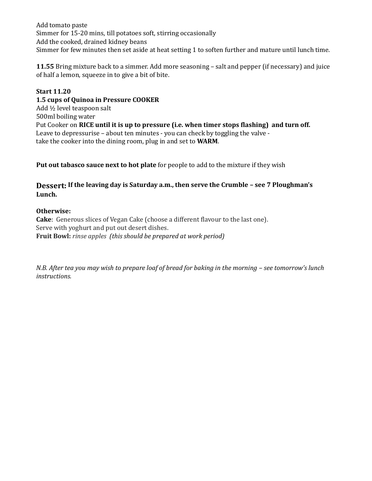Add tomato paste Simmer for 15-20 mins, till potatoes soft, stirring occasionally Add the cooked, drained kidney beans Simmer for few minutes then set aside at heat setting 1 to soften further and mature until lunch time.

11.55 Bring mixture back to a simmer. Add more seasoning – salt and pepper (if necessary) and juice of half a lemon, squeeze in to give a bit of bite.

#### Start 11.20

1.5 cups of Quinoa in Pressure COOKER Add ½ level teaspoon salt 500ml boiling water Put Cooker on RICE until it is up to pressure (i.e. when timer stops flashing) and turn off. Leave to depressurise – about ten minutes - you can check by toggling the valve take the cooker into the dining room, plug in and set to **WARM**.

Put out tabasco sauce next to hot plate for people to add to the mixture if they wish

# Dessert: If the leaving day is Saturday a.m., then serve the Crumble – see 7 Ploughman's Lunch.

#### Otherwise:

Cake: Generous slices of Vegan Cake (choose a different flavour to the last one). Serve with yoghurt and put out desert dishes. Fruit Bowl: rinse apples (this should be prepared at work period)

N.B. After tea you may wish to prepare loaf of bread for baking in the morning – see tomorrow's lunch instructions.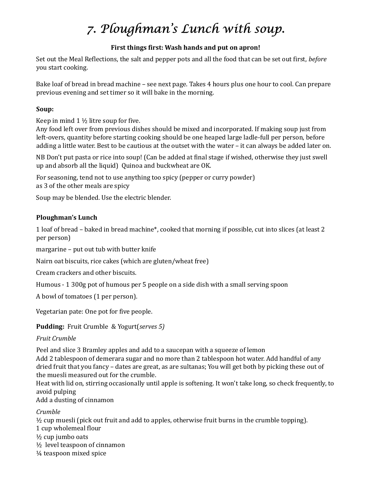# 7. Ploughman's Lunch with soup.

# First things first: Wash hands and put on apron!

Set out the Meal Reflections, the salt and pepper pots and all the food that can be set out first, *before* you start cooking.

Bake loaf of bread in bread machine – see next page. Takes 4 hours plus one hour to cool. Can prepare previous evening and set timer so it will bake in the morning.

# Soup:

Keep in mind 1 ½ litre soup for five.

Any food left over from previous dishes should be mixed and incorporated. If making soup just from left-overs, quantity before starting cooking should be one heaped large ladle-full per person, before adding a little water. Best to be cautious at the outset with the water – it can always be added later on.

NB Don't put pasta or rice into soup! (Can be added at final stage if wished, otherwise they just swell up and absorb all the liquid) Quinoa and buckwheat are OK.

For seasoning, tend not to use anything too spicy (pepper or curry powder) as 3 of the other meals are spicy

Soup may be blended. Use the electric blender.

# Ploughman's Lunch

1 loaf of bread – baked in bread machine\*, cooked that morning if possible, cut into slices (at least 2 per person)

margarine – put out tub with butter knife

Nairn oat biscuits, rice cakes (which are gluten/wheat free)

Cream crackers and other biscuits.

Humous - 1 300g pot of humous per 5 people on a side dish with a small serving spoon

A bowl of tomatoes (1 per person).

Vegetarian pate: One pot for five people.

Pudding: Fruit Crumble & Yogurt(serves 5)

# Fruit Crumble

Peel and slice 3 Bramley apples and add to a saucepan with a squeeze of lemon

Add 2 tablespoon of demerara sugar and no more than 2 tablespoon hot water. Add handful of any dried fruit that you fancy – dates are great, as are sultanas; You will get both by picking these out of the muesli measured out for the crumble.

Heat with lid on, stirring occasionally until apple is softening. It won't take long, so check frequently, to avoid pulping

Add a dusting of cinnamon

# Crumble

 $\frac{1}{2}$  cup muesli (pick out fruit and add to apples, otherwise fruit burns in the crumble topping). 1 cup wholemeal flour ½ cup jumbo oats ½ level teaspoon of cinnamon ¼ teaspoon mixed spice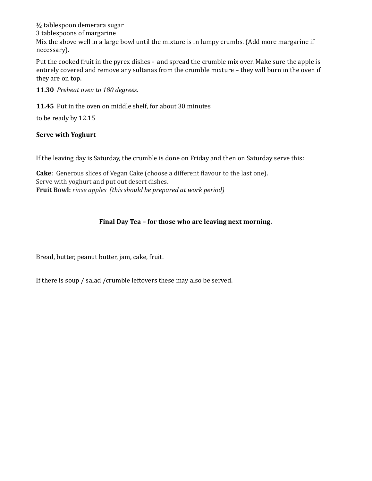½ tablespoon demerara sugar 3 tablespoons of margarine Mix the above well in a large bowl until the mixture is in lumpy crumbs. (Add more margarine if necessary).

Put the cooked fruit in the pyrex dishes - and spread the crumble mix over. Make sure the apple is entirely covered and remove any sultanas from the crumble mixture – they will burn in the oven if they are on top.

11.30 Preheat oven to 180 degrees.

11.45 Put in the oven on middle shelf, for about 30 minutes

to be ready by 12.15

#### Serve with Yoghurt

If the leaving day is Saturday, the crumble is done on Friday and then on Saturday serve this:

Cake: Generous slices of Vegan Cake (choose a different flavour to the last one). Serve with yoghurt and put out desert dishes. Fruit Bowl: rinse apples (this should be prepared at work period)

# Final Day Tea – for those who are leaving next morning.

Bread, butter, peanut butter, jam, cake, fruit.

If there is soup / salad /crumble leftovers these may also be served.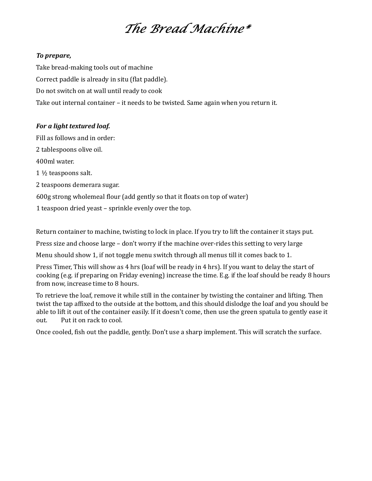# The Bread Machine\*

#### To prepare,

Take bread-making tools out of machine Correct paddle is already in situ (flat paddle). Do not switch on at wall until ready to cook Take out internal container – it needs to be twisted. Same again when you return it.

#### For a light textured loaf.

Fill as follows and in order:

2 tablespoons olive oil.

400ml water.

1 ½ teaspoons salt.

2 teaspoons demerara sugar.

600g strong wholemeal flour (add gently so that it floats on top of water)

1 teaspoon dried yeast – sprinkle evenly over the top.

Return container to machine, twisting to lock in place. If you try to lift the container it stays put.

Press size and choose large – don't worry if the machine over-rides this setting to very large

Menu should show 1, if not toggle menu switch through all menus till it comes back to 1.

Press Timer, This will show as 4 hrs (loaf will be ready in 4 hrs). If you want to delay the start of cooking (e.g. if preparing on Friday evening) increase the time. E.g. if the loaf should be ready 8 hours from now, increase time to 8 hours.

To retrieve the loaf, remove it while still in the container by twisting the container and lifting. Then twist the tap affixed to the outside at the bottom, and this should dislodge the loaf and you should be able to lift it out of the container easily. If it doesn't come, then use the green spatula to gently ease it out. Put it on rack to cool.

Once cooled, fish out the paddle, gently. Don't use a sharp implement. This will scratch the surface.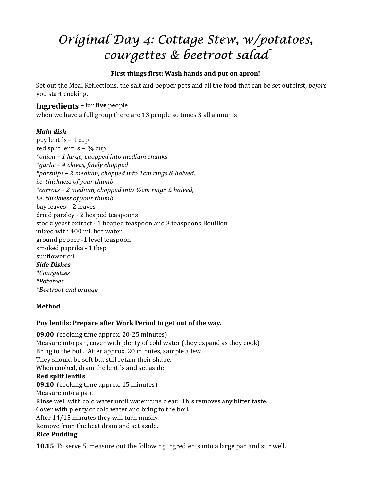# Original Day 4: Cottage Stew, w/potatoes, courgettes & beetroot salad

# First things first: Wash hands and put on apron!

Set out the Meal Reflections, the salt and pepper pots and all the food that can be set out first, *before* you start cooking.

# Ingredients – for five people

when we have a full group there are 13 people so times 3 all amounts

# Main dish

 puy lentils – 1 cup red split lentils –  $\frac{3}{4}$  cup \*onion – 1 large, chopped into medium chunks \*garlic – 4 cloves, finely chopped \*parsnips – 2 medium, chopped into 1cm rings & halved, i.e. thickness of your thumb \*carrots – 2 medium, chopped into ½cm rings & halved, i.e. thickness of your thumb bay leaves – 2 leaves dried parsley - 2 heaped teaspoons stock: yeast extract - 1 heaped teaspoon and 3 teaspoons Bouillon mixed with 400 ml. hot water ground pepper -1 level teaspoon smoked paprika - 1 tbsp sunflower oil Side Dishes \*Courgettes \*Potatoes \*Beetroot and orange

# Method

# Puy lentils: Prepare after Work Period to get out of the way.

09.00 (cooking time approx. 20-25 minutes) Measure into pan, cover with plenty of cold water (they expand as they cook) Bring to the boil. After approx. 20 minutes, sample a few. They should be soft but still retain their shape. When cooked, drain the lentils and set aside. Red split lentils 09.10 (cooking time approx. 15 minutes) Measure into a pan. Rinse well with cold water until water runs clear. This removes any bitter taste. Cover with plenty of cold water and bring to the boil. After 14/15 minutes they will turn mushy. Remove from the heat drain and set aside. Rice Pudding

10.15 To serve 5, measure out the following ingredients into a large pan and stir well.